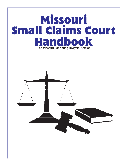# **Missouri Small Claims Court Handbook** The Missouri Bar Young Lawyers' Section

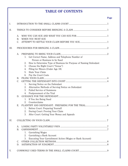# TABLE OF CONTENTS

#### **Page 2018 Page 2018**

| I.   |                 |                                                                                                 |  |
|------|-----------------|-------------------------------------------------------------------------------------------------|--|
| II.  |                 |                                                                                                 |  |
|      | A.<br><b>B.</b> | WHEN YOU MUST SUE                                                                               |  |
|      | C.              |                                                                                                 |  |
| III. |                 |                                                                                                 |  |
|      | A.              |                                                                                                 |  |
|      |                 | Get Correct Name, Address and Telephone Number of<br>$\perp$ .<br>Person or Business to be Sued |  |
|      |                 | How to Determine Type of Business for Purpose of Naming Defendant<br>2.                         |  |
|      |                 | Choose the Right Court ("Venue")<br>3.                                                          |  |
|      |                 | Filing for Minors (Under Age 18)<br>4.                                                          |  |
|      |                 | State Your Claim<br>5.                                                                          |  |
|      | <b>B.</b>       | Pay the Court Costs<br>6.                                                                       |  |
|      | $C_{\cdot}$     |                                                                                                 |  |
|      |                 | Serving Notice on the Defendant<br>1.                                                           |  |
|      |                 | Alternative Methods of Serving Notice on Defendant<br>2.                                        |  |
|      |                 | <b>Failed Service of Summons</b><br>3.                                                          |  |
|      |                 | Postponement of the Trial<br>4.                                                                 |  |
|      | D.              |                                                                                                 |  |
|      |                 | If You Are Being Sued<br>1.                                                                     |  |
|      |                 | Counterclaims<br>2.                                                                             |  |
|      | E.              |                                                                                                 |  |
|      |                 | Before Court: Preparing Yourself<br>1.                                                          |  |
|      |                 | During Court: Proving Your Claim<br>2.                                                          |  |
|      |                 | After Court: Getting Your Money and Appeals<br>3.                                               |  |
| IV.  |                 |                                                                                                 |  |
|      | A.              |                                                                                                 |  |
|      | <b>B.</b>       |                                                                                                 |  |
|      |                 | Garnishing Wages<br>1.                                                                          |  |
|      |                 | 2. Garnishing a Bank Account                                                                    |  |
|      |                 | 3.<br>Executing Your Garnishment Action (Wages or Bank Account)                                 |  |
|      | C.              |                                                                                                 |  |
|      | D.              |                                                                                                 |  |
| V.   |                 |                                                                                                 |  |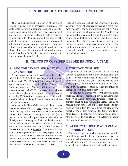## I. INTRODUCTION TO THE SMALL CLAIMS COURT

The small claims court is a division of the circuit court presided over by an associate circuit judge. The small claims court is a people's court and was established to help people handle their small cases without an attorney. The clerks are there to help prepare the proper papers to file a claim and, if you win, to help collect your money. However, if you feel you cannot adequately represent yourself and protect your own interests, you may retain an attorney to assist you. For those who are unable to pay for legal assistance and are eligible for legal aid, the legal services project in your area may be able to help.

Small claims proceedings are informal in nature. You must fill out all required forms and present your own evidence in court. There are no jury trials. While the small claims court system was designed to settle uncomplicated disputes, filing and winning a claim as well as collecting your money can be far from uncomplicated. There are specific rules that must be followed if you are to succeed on your claim. This handbook is designed to introduce you to many of those rules and to assist you in pursuing your claim in small claims court.

# II. THINGS TO CONSIDER BEFORE BRINGING A CLAIM

#### A. WHO YOU CAN SUE AND WHAT YOU CAN SUE FOR

Any person or business with a civil claim that DOES NOT EXCEED \$5,000.00 may bring a suit in small claims court. The \$5,000.00 limit does not include court costs and interest on the \$5,000.00 which the judge may award you. You may still file a claim if the amount exceeds \$5,000.00. However, if you choose to do this, you give up your right to claim any amount exceeding \$5,000.00 both in your present suit and in any other claim involving the same person or business and the same issues.

You can only file a claim in small claims court against someone who owes you money; you may not file a claim against a person who owes someone else money. Furthermore, an assignee of a claim (i.e., a person or business that purchases or otherwise has the right to a claim) may not file in small claims court. You may file no more than twelve claims in small claims court in any calendar year. THE COURT CAN ONLY HANDLE CLAIMS FOR MONEY. Therefore, the court cannot force anyone to return property to you, nor can the small claims court be used by landlords to evict tenants. Furthermore, THE COURT IS NOT RESPON-SIBLE FOR COLLECTING THE MONEY THAT THE JUDGE MAY DETERMINE IS OWED TO YOU.

#### B. WHEN YOU MUST SUE

Depending on the type of claim you are making, you have a certain amount of time in which to file the claim. This time limit is called the statute of limitations, and you must file your claim before the time period expires. The time period begins to run when the injury or damage occurs or when the injury or damage should have been discovered.

The time period allowed varies with different types of claims. Claims for personal injury or damage to your property and claims for money damages for breach of contract must be filed within five years. Claims to recover money for breach of a written promise to pay must be filed within ten years from the date of the breach of the written promise. The time periods for other types of actions vary, however, you generally have two years to file a claim. To be safe, you should file your claim as soon as possible.

#### C. ATTEMPT TO SETTLE YOUR CLAIM BEFORE YOU SUE

Pursuing a claim in court is a serious matter with unpredictable results. If you sue you may lose. Be sure you feel you can adequately explain and prove your claim to a judge. Even if you win, you are responsible for collecting the money from the defendant.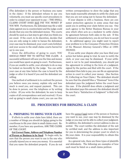(The defendant is the person or business you name in the claim.) If the defendant refuses to pay you voluntarily, you must use specific court procedures in order to compel your opponent to pay — THE SMALL CLAIMS COURT DOES NOT PAY YOU MONEY IF YOU WIN. Furthermore, the defendant may file a valid claim against you (a counterclaim) and the judge could decide that you owe the defendant money. The courts should be used as a last step to get what you think you are owed. If the court, in its discretion, decides that you are only suing in order to harass the defendant, your case may be dismissed, your court costs forfeited, and your access to the small claims courts barred for up to one year.

Given the difficulties of going to court, YOU SHOULD FIRST TRY TO SETTLE THE CLAIM. A successful settlement will save you the time and money you would have spent on going to court. Furthermore, if you are unable to settle, your attempts to do so may be looked on favorably by the judge. You can settle your case at any time before the case is heard by the judge or after it is heard if you and the defendant are willing.

One method of settlement is to confront the person you believe owes you money, explain why and how much is owed you, and request payment. This can be done in person, over the telephone or by writing a letter. (If you write the defendant, be sure to keep copies of all correspondence sent and received.) If you end up going to small claims court, you can use this written correspondence to show the judge that you have made reasonable attempts to settle the claim and that you are not suing just to harass the defendant.

If your dispute is with a business, there are consumer protection agencies in some areas that may assist you in settling your claim before you sue. One such agency is the Better Business Bureau in your area which often acts as a mediator to settle claims by agreement between both sides in the suit. If this settlement is unsatisfactory, you do not have to accept it. An additional agency you might want to report your problem to is the Consumer Protection Division of the Missouri Attorney General's Office at 1-800- 392-8222.

If you settle your dispute after you have filed your action but before going to trial, be sure to notify the clerk, or your case may be dismissed. If your settlement is not to be paid immediately, you should put the agreement in writing in the form of a judgment, signed by the parties and filed with the court. If the defendant then fails to pay, you can file an appropriate action in court to collect your money. (See Section IV, Collecting on Your Claim.) The defendant should be sure that the plaintiff files a "Dismissal" form if the defendant pays the judgment before the court hears the case. If the plaintiff does obtain a judgment and the defendant pays this amount, the defendant should be sure that a "Satisfaction of Judgment" is filed with the court.

# III. PROCEDURES FOR BRINGING A CLAIM

#### A. PREPARING TO BRING YOUR CLAIM

If efforts to settle your claim have failed, there are a number of things you should do before going to the courthouse to file your claim in small claims court. Remember, if you have any questions, ASK THE CLERK OF THE COURT.

Get Correct Name, Address and Telephone Number of Person or Business to be Sued: To begin with, be sure that the person you want to sue is the one who actually injured you or owes you money. It is essential that you name the defendant properly. If you do not have the <u>correct legal</u> name of the person or business you want to sue, your case may be dismissed by the judge or you may not be able to collect your judgment. In addition, the defendant's correct address is also essential. The court notifies the defendant of the suit by certified mail, and the address is also important for you in determining the proper court in which to file your claim. It is your responsibility to obtain this information.

As a general rule, there are three types of plaintiffs and defendants. The following are examples of how each must be listed on a small claims petition: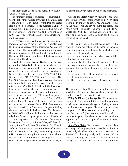For individuals, use their full name. For example, "John Doe" not "J. Doe."

For unincorporated businesses or partnerships, use the following: "Name of Owner d/b/a the Name of the Business." For example, "John Doe and James Roe  $d/b/a$  Roe's Tractor." If the business is unincorporated but is a partnership, you must find out who the partners are. You must sue and serve notice on EACH PARTNER INDIVIDUALLY (d/b/a means "doing business as").

For a corporation, use the correct business name. For example, "Doe's Tractor, Inc." You must also have the name and address of the Registered Agent of the corporation. The agent is the person who will receive the summons (notice of the suit filed). In addition to the name of the agent, the officers of the business may be named in the claim.

How to Determine Type of Business for Purpose of Naming Defendant: To determine whether the business you are dealing with is incorporated, unincorporated, or is a partnership, call the Secretary of State's Office in Jefferson City at (573) 751-4153, in Kansas City at (816) 889-2925, or in St. Louis at (314) 340-7490 (information about business ownership may also be available through the Occupational Licenses office at your City Hall). Ask them if the business is incorporated and for the correct business name. If it is incorporated, ask for the name of the registered agent's name and address. If it is not incorporated or is not listed with the Secretary of State's Office and you know the name of the owner, list the name of the business as shown above. If the business is a partnership, ask if the Office can assist you in finding the names of the individual partners. The Secretary of State's Office will provide this information over the telephone free of charge or you can send \$10.00 and a written request for this information to: Corporation Information, Secretary of State's Office, 615 East 13th Street, Room 513, Kansas City, Missouri 64106, or in Jefferson City, to Secretary of State, State of Missouri, 600 W. Main, P.O. Box 778, Jefferson City, Missouri 65102. Be sure to bring the answer you received from the Secretary of State with you when you go to the courthouse to file your claim. The clerk can assist you in determining what name to put on the summons.

Choose the Right Court ("Venue"): You must choose the correct court in which to file your claim. If you file in the wrong court, you will have to refile in the right court and pay the filing fee again. You have a number of courts to choose from, but CHECK WITH THE CLERK to be sure you are in the right court and the right county. A claim can be filed in the small claims court:

in the county where the defendant lives. If the plaintiff is suing more than one defendant on the same claim, filing is proper in the county in which at least one of the defendants lives;

in the county where the transaction occurred that is the basis of your claim;

in the county where the plaintiff lives and the defendant may be found in that county (i.e., the defendant works in that county or has other regular business there);

in any county where the defendant has an office if the defendant is a business; or

in the county of the registered agent of a business.

The safest choice is to file your claim in the county in which the defendant lives, because there is no question you have filed in the correct court.

Filing for Minors (Under Age 18): If you are under the age of 18 you may still file a claim, but you must also bring someone over the age of 18 with you to the courthouse when you go to file your claim and when you go to trial. This person must be willing to act as your "next friend" (the person who will formally act in court for you). The clerk of the court has all the appropriate forms for this procedure and can answer your questions.

**State Your Claim:** Be prepared to state your claim as simply and as precisely as possible on the form provided by the clerk. For example, "I paid Mr. Doe \$200.00 for plumbing work, and he never did the work." Generally, you should ask for the amount of money you spent or lost because of the claim. Receipts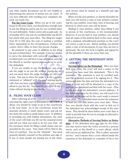and other similar documents can be very helpful in determining the amount of money you are owed. If you have difficulty with wording your complaint, the clerk can assist you.

Pay the Court Costs: When you go to the courthouse to file your claim, you should have enough cash to pay the filing fee and to pay for one certified letter for each defendant. Some courts only accept cash. As of October 2011, the cost of a certified letter was \$5.59, but check with your post office. The filing fee ranges from \$5 to \$35 plus the cost of mailing a certified letter, depending on the circumstances. Contact the county clerk's office to learn the precise charges.

Be prepared to pay costs in addition to the filing fee and certified letter. For example, if you are unable to serve the defendant with notice of your claim by certified mail, you will have to pay additional costs for the Sheriff or another special process server to serve the defendant.

If you are unable to pay the filing fee, you must ask the judge to let you file without paying the fee, and you must show the judge that you are too poor to pay. One way to show the judge is to file a written statement or "affidavit" with the court stating specifically that you have a good claim and why you cannot afford to pay the fee. You must be very poor to file a claim without having to pay the fee.

#### B. FILING YOUR CLAIM

After collecting all of the required information and selecting the right court as discussed in SECTION A above, you should be ready to go to the courthouse to file your claim. Go to the courthouse, locate the associate division or small claims court, and ask for the clerk who works in small claims court. In addition to providing you with helpful information, the clerk of the court will help you fill out the required forms and tell you what you need to do for your trial. All the necessary forms for filing a small claims case are provided by the court. Your claim will be filed in the form of a petition. You are the "plaintiff." You must properly identify yourself on the petition and sign it. If one or more people are joining you in the claim,

each person must be named as a plaintiff and sign the petition.

When you file your petition, or shortly thereafter by mail, you will receive a copy of your petition containing the case number, court date, time of hearing, and division in which your case will be heard.

Mailing in your petition, rather than filling it out in person at the courthouse, is not recommended. However, if you do mail in your petition, you should mail all copies of the petition back to the court, along with a stamped, self-addressed envelope so the court can return a copy to you. Before mailing, you should make a copy of all documents in case they are lost or destroyed. Be sure the form is legible and signed by all the plaintiffs if there are more than one.

#### C. GETTING THE DEFENDANT INTO **COURT**

Serving Notice on the Defendant: After you have filed your claim, the court will mail a notice to the person you have sued (the defendant). This is the summons. The summons is sent by certified mail, and the defendant receives it by signing for it. This notice will state the date and time the defendant is to come to court and will be attached to a copy of the petition you completed and filed with the court. (This is why you need the defendant's correct address.) If the defendant signs for the letter, you will need to be in court on the date set by the court ready to present your claim. The defendant must receive the summons at least ten (10) days before your court date. Therefore, you should check with the court to find out if the defendant has acknowledged receipt of the summons. This should be done before your court date in order to provide time for you to arrange an alternative method of service.

Alternative Methods of Serving Notice on Defendant: If the defendant does not sign for the letter, you may need to have the notice served by a process server, such as the sheriff or a court official, which will cost you an additional fee. This is called "personal service," and it means that a court official hands the summons to the defendant or a member of his or her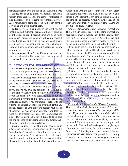immediate family over the age of 15. While this type of service can be quite expensive, personal service is usually more reliable. Ask the clerk for information and assistance on arranging for personal service. Also, remember to bring the fee in cash to pay for this service and to avoid further delay.

Failed Service of Summons: In the event you are unable to get a summons served on the first attempt, ask the clerk to issue a second summons or an "alias summons." The second summons will require payment of additional fees and it may or may not result in successful service. You should consider the likelihood of obtaining service before spending additional money or pursuing the claim.

**Postponement of the Trial:** For good cause, a trial may be postponed by the judge. Such a postponement is referred to as a "continuance."

#### D. GUIDANCE FOR THE DEFENDANT

If You Are Being Sued: If you have received notice in the mail that you are being sued, DO NOT THROW IT AWAY. Be sure you understand it and bring it to court. If you do not appear on the day and time stated in the summons, THE JUDGE MAY ISSUE A DEFAULT JUDGMENT ORDERING YOU TO PAY THE PERSON WHO IS SUING YOU. After receiving the summons, if you believe you owe the plaintiff some but not all of the money claimed in the petition, you may try to settle the claim. If you do settle, be sure to put the agreement in writing and file it with the clerk of the small claims court. If you are unable to settle with the plaintiff or do not agree that you owe the plaintiff any money, prepare to go to court and present your side of the story. You may bring an attorney if you feel you need one to protect your rights. If you are under the age of 18, you may need to have a guardian appointed for the purpose of defending you in the action. Ask the clerk if you have any questions.

Counterclaims: If you think you have a claim against the person who is suing you, you may make this "counterclaim" against the plaintiff at the same time you are being sued. The defendant does not have to pay the filing fee but must pay for the cost of mailing the counterclaim to the plaintiff. Some counterclaims must be filed with the court within ten (10) days after you receive notice that the plaintiff has sued you, and others may be brought at any time up to and including the time of the hearing. Check with the clerk about when you must make your counterclaim. There are two types of counterclaims:

Counterclaim Arising Out of the Same Transaction: This is a claim that arises from the same transaction, occurrence, or set of facts as the plaintiff's claim. After receiving the summons, you may go to the clerk and file your counterclaim on forms provided by the clerk or the counterclaim may be raised at the hearing.

If you go to the clerk to file your counterclaim, go before the date of trial, and the clerk will assist you in filling out a form called "Counterclaim Arising Out Of Same Transaction." You should bring a stamped envelope to the clerk to use for mailing the counterclaim to the plaintiff. If your counterclaim is filed within ten (10) days of the trial date, the court is likely to postpone the case until a later date.

During the trial, if the defendant or judge discovers a counterclaim against the plaintiff arising out of the same transaction, the claim may be decided at the trial or at a separate hearing. If the defendant does not want to have the counterclaim decided in the present trial, only the plaintiff's claim will be decided. The defendant may then file a claim at a later date. The plaintiff may either agree to have the counterclaim decided immediately or have the trial postponed to allow the plaintiff an opportunity to prepare a defense to the counterclaim.

Counterclaim Arising Out of a Different Transaction: This is a claim which did not arise out of the same transaction, occurrence or set of facts as the plaintiff's claim. If you wish to have this counterclaim tried at the same hearing as the plaintiff's claim, you must see the clerk within ten (10) days of receiving your summons and file your counterclaim on forms provided by the clerk. The clerk will assist you in completing a "Counterclaim Not Arising Out Of Same Transaction" form. If you fail to file your claim within ten (10) days of RECEIVING THE SUMMONS, you will have to bring a separate suit at a later date in which you will be the plaintiff. Like the other type of counterclaim, you must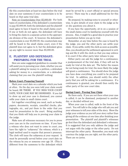file this counterclaim at least ten days before the trial date on your summons if your counterclaim is to be heard on that same trial date.

Note on Counterclaims Over \$5,000.00: For both types of counterclaims, if the defendant's counterclaim is over \$5,000.00, both the defendant and the plaintiff must agree to have it heard in the small claims court. If one or both do not agree, the defendant will have to bring the claim in a separate action in the appropriate division of the court. If, however, the defendant's counterclaim is over \$5,000.00, the counterclaim may still be heard in the small claims court, even if the plaintiff does not agree to it, but the defendant gives up any right to recover more than \$5,000.00.

#### E. PLAINTIFF AND DEFENDANT: PREPARING FOR THE TRIAL

Here are some suggested guidelines to consider that will assist you in pursuing your claim, whether you are a plaintiff asking for money in a petition, a defendant asking for money in a counterclaim, or a defendant claiming that you owe the plaintiff nothing:

#### Before Court: Preparing Yourself:

Mark your court date on a calendar which you look at often. On the day you were told your claim would be heard, BE THERE. IF YOU MISS YOUR COURT DATE, YOUR CASE MAY BE DISMISSED. If you fail to show up and your case is dismissed, you cannot refile your claim in small claims court.

Get together everything you need, such as books, papers, documents, receipts, cancelled checks, photographs, etc., and put them in the order that you need for presentation to the court. Bring anything that you think will help you in proving your claim to the judge.

Make sure all witnesses necessary for you to prove your case are in the courtroom on time. If you have a witness who does not want to come to court, you have the right to "subpoena" the witness, which is a legal method used to require that person's presence. The clerk will issue the subpoena at your request. It must be personally served before your court date on the witness by you or someone over age 18. (This is different from the summons to the defendant which must be served by a court official or special process server.) There may be a small additional fee for this service.

Be prepared, by making notes to yourself or otherwise, to give details of your claim to the judge as he or she questions you about it.

If you have the opportunity, sit in on a session of the small claims court to familiarize yourself with the process. Also, it might be a good idea to practice your presentation before you go to trial.

Remember, at any time before the case is heard by the judge, you and the other party can settle your claim. If you settle, notify the clerk as soon as possible. Also, you should put the settlement agreement in writing and file it with the clerk so that you may enforce it in court if the other party later refuses to pay.

Either party can ask the judge for a continuance, a postponement of the trial date, if they will not be ready for trial at the date set. The better the reason for not being ready for trial, the more likely the judge will grant a continuance. You should show the judge you have done everything you could to be prepared for trial. In addition, you should notify the other party that you will be asking for a continuance. If a continuance is granted, you should then notify the other party of the new court date.

#### During Court: Proving Your Claim:

Be there early. If you are not there when your case is called, it can be dismissed, postponed to another day, or decided without you.

When your case is called, walk to the front of the court. You will talk to the judge who will ask you and your witnesses to tell your sides of the story. Show the judge your evidence as you tell your story rather than giving all the evidence at one time after finishing your presentation. The plaintiff and plaintiff's witnesses go first then the defendant and defendant's witnesses. It is suggested that you only address the judge and not argue with the judge or the other party. Do not interrupt the other party. Remember, you must only convince the judge you are right, not the other party. There are no juries.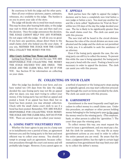Be courteous to both the judge and the other party. Have all your evidence (pictures, papers, estimates, witnesses, etc.) available to the judge. The burden is on you to prove your side of the story.

The judge will decide who is owed how much money. This may be done after hearing both sides, or the judge may wait to think about the case and then mail you the decision. Once the judge announces the decision, THE JUDGE CANNOT HELP YOU ANY FURTHER. Do not argue with the judge. It will do you no good. If you have any questions, please direct them to the small claims clerk who helped you file your claim. If you win, NEITHER THE JUDGE NOR THE CLERK WILL COLLECT THE MONEY FOR YOU.

#### After Court: Getting Your Money and Appeals:

Getting Your Money: If you win the case, YOU ARE RESPONSIBLE FOR COLLECTING THE MONEY THE JUDGE DECIDED YOU ARE OWED. THE JUDGE AND THE CLERK WILL NOT DO IT FOR YOU. See Section IV for information on collecting on your claim.

#### F. APPEALS

Both parties have the right to appeal the judge's decision and to have a completely new trial before a new judge or before a jury. You must pay another fee and file a form called "Application for Trial de Novo" within ten (10) days of the day the judge decided your case. The fee is likely to be significantly greater than the small claims court fee. The clerk can assist you with this process.

The new trial will be heard in the circuit division. Because the rules of the circuit division are more complicated and the judge and the clerk are not permitted to help you, it is advisable to seek the assistance of an attorney.

Even if the losing party appeals the case, the winning party can still try to collect the money. To prevent this while the case is being appealed, the losing party may post a bond with the court. Posting a bond is not necessary in order to appeal the decision. The clerk can assist you with this process.

### IV. COLLECTING ON YOUR CLAIM

After the judge has decided in your favor, and you have waited ten (10) days from the date the judge decided the case (losing party may not file an appeal after ten days), you may start trying to collect your money, if the losing party has not filed an appeal and posted a bond. If an appeal has been filed, but no bond has been posted, you may attempt collection. Check with the small claims court clerk to see if a bond has been posted. Remember, YOU ARE SOLELY RESPONSIBLE FOR COLLECTING YOUR MONEY. THE JUDGE AND THE CLERK WILL NOT DO IT FOR YOU. There are several ways to collect your money:

#### A. LOSING PARTY VOLUNTARILY PAYS

Whether the loser agrees to pay you in a lump sum or in installments over a period of time, an agreement between you and the losing party is the best and most efficient way to collect your money. You should attempt to arrange such an agreement, because collection procedures through the court cost money and will probably take longer. However, if you cannot agree on a method of payment or the losing party stops paying as originally agreed, you may start collection proceedings through the court on forms provided by the clerk. The clerk can assist you with this process.

#### B. GARNISHMENT

Garnishment is the most frequently used legal procedure to collect money in a small claims case. Under this procedure, an employer or other person holding money belonging to the losing party pays to the court the money owed to the winning party. (This employer, bank, or other person is called the "garnishee.") The court then pays the winning party.

To collect money this way, you must request the court to issue a garnishment, and you must pay a fee. Ask the clerk for assistance. You may file as many garnishment actions as you need in order to collect the entire amount you are owed. Be aware that the loser, a judgment debtor, has the right to certain legal exemptions from garnishment that may limit your ability to collect the debtor's money.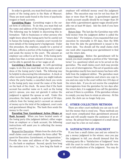In order to garnish, you must first locate some cash assets of the losing party in the State of Missouri. These are most easily found in the form of paychecks (wages) or bank accounts.

**Garnishing Wages:** Garnishing wages is the surest form of collection. To do this, you must find out the name and address of the losing party's employer. The following may be helpful in discovering this information: Talk to businesses or other persons who might know about the losing party but be careful not to harass the losing party; examine court records for more details of the losing party's background. Under this procedure, the employer, usually for a period of 90 days, collects a portion of the losing party's wages and sends the money to the court. The amount an employer can collect is set by law. If the losing party makes less than a certain amount of money, you may not be able to garnish his or her wages at all.

Garnishing a Bank Account: As with garnishing wages, to do this you must find out the name and address of the losing party's bank. The following may be helpful in discovering this information: A check or other record the losing party gave you might indicate where the party banks; a cancelled check you wrote to the losing party may reveal the name of the bank on the back of the check. Be aware that if the bank account has another name on it, such as the losing party's spouse, you may not garnish it unless the judgment is against the spouse as well. Under this procedure, the bank, usually for a period of 30 days, collects from the losing party's account an amount of money up to the total of the judgment, court costs and garnishment filing fee. The bank then sends the money to the court.

Executing Your Garnishment Action (Wages or **Bank Account)**: When you have located assets of the losing party (the judgment debtor), either wages from an employer or a bank account, the following instructions will assist you in collecting the money owed to you:

Request for Execution: Obtain from the clerk of the small claims court and complete the form called "Request for Execution, Garnishment, or Sequestration." Provide the name and address of the "garnishee," i.e., the bank or employer. Second, specify how long the execution is to "run," i.e., how long the bank or employer will withhold money owed the judgment debtor. The execution may run for not less than 30 days or more than 90 days (a garnishment against a bank account usually should be no longer than 30 days while a garnishment against wages should probably run at least 90 days). Ask the clerk if you have questions.

Return Date: The last day the Garnishee may withhold money from the judgment debtor is called the "return date." For instance, if you requested that your execution be returnable in 60 days, then the 60th day from the date the garnishment is issued is the return date. You should call the small claims clerk one week after requesting your garnishment to find out the return date.

Interrogatories: Before the garnishment will be issued, you must complete a portion of the "interrogatories" (i.e. questions) which are to be served on the garnishee. The small claims court clerk may provide you a set of interrogatories. This set of questions asks the garnishee exactly how much money has been withheld from the judgment debtor. The garnishee must answer these interrogatories and return one copy to you and one copy to the court within ten (10) days of the return date. If you do not receive the completed interrogatories from the garnishee by ten days after the return date, it is suggested you call the garnishee and see if there is a problem. If the garnishee refuses to comply, you may have to retain an attorney. At this point, the clerk can no longer help you.

#### C. OTHER COLLECTION METHODS

There are other court methods you can use to collect the money that is owed you. These methods are much more complicated than garnishment proceedings and will usually require the assistance of an attorney. Be advised that no judgment of a small claims court may be a lien on real estate.

#### D. SATISFACTION OF JUDGMENT

If you lose a small claims case and are ordered to pay a money judgment to the winner, once you pay the judgment in full, you should demand that the winning party file a "Satisfaction of Judgment" form with the court to verify that you have paid the winner in full satisfaction of the judgment. You may do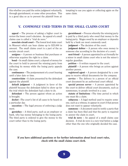this whether you paid the entire judgment voluntarily, through garnishment, or some other procedure. This is a good idea so as to prevent the plaintiff from attempting to sue you again or collecting again on the same claim.

### V. COMMONLY USED TERMS IN THE SMALL CLAIMS COURT

appeal — The process of asking a higher court to review the lower court's decision. An appeal of a small claims case is called a "trial de novo."

associate circuit court — The lowest level state court in Missouri which can hear claims up to \$25,000 in amount. The small claims court is a part of the associate circuit court.

**assignee**  $-$  A person or business that purchases or otherwise acquires the right to a claim.

bond — In small claims court, a deposit of money for the court to hold to prevent the winning party from collecting its money while the losing party appeals the case.

continuance — The postponement of a court hearing until a later date or time.

counterclaim —A claim presented by the defendant against the plaintiff.

default judgment  $-$  A judgment in favor of the plaintiff because the defendant failed to show up for the trial which the defendant had a duty to do.

defendant — The person against whom an action is brought.

docket —The court's list of all cases to be heard on a particular day.

execution — The legal process of enforcing a judgment.

**garnishee**  $-$  A third party, such as an employer or bank, who has money belonging to the losing party. The third party is ordered to give the money to the court rather than to the losing party.

garnishment — Process whereby the winning party is paid by a third party who owed that money to the losing party. Wages owed by an employer or deposits held by a bank are most commonly used.

judgment — The decision of the court.

**judgment debtor**  $-$  A person who owes money to someone else according to the decision of a court.

next friend — A person appointed to act formally for a minor in small claims court who is not the minor's regular guardian.

petition — A written request to the court.

**plaintiff**  $- A$  person who brings an action against another person.

**registered agent**  $-$  A person designated by a company to receive official documents for the company.

service — The delivery to a person of an official court document by an authorized court official.

special process server  $-$  A person appointed by the court to deliver official court documents, such as summonses, to people involved in a case.

statute of limitations —The time period in which one must file a claim.

subpoena  $-$  A legal method used to require someone, such as a witness, to appear in court if that person does not want to appear voluntarily.

summons — A document used to notify a party that a claim has been filed and that the party is required to answer the claim in court.

trial de novo — An appeal of a small claims case decision. A trial de novo is a new trial before a judge other than the one who originally decided the case.

#### If you have additional questions or for further information about local court rules, check with the small claims court clerk.